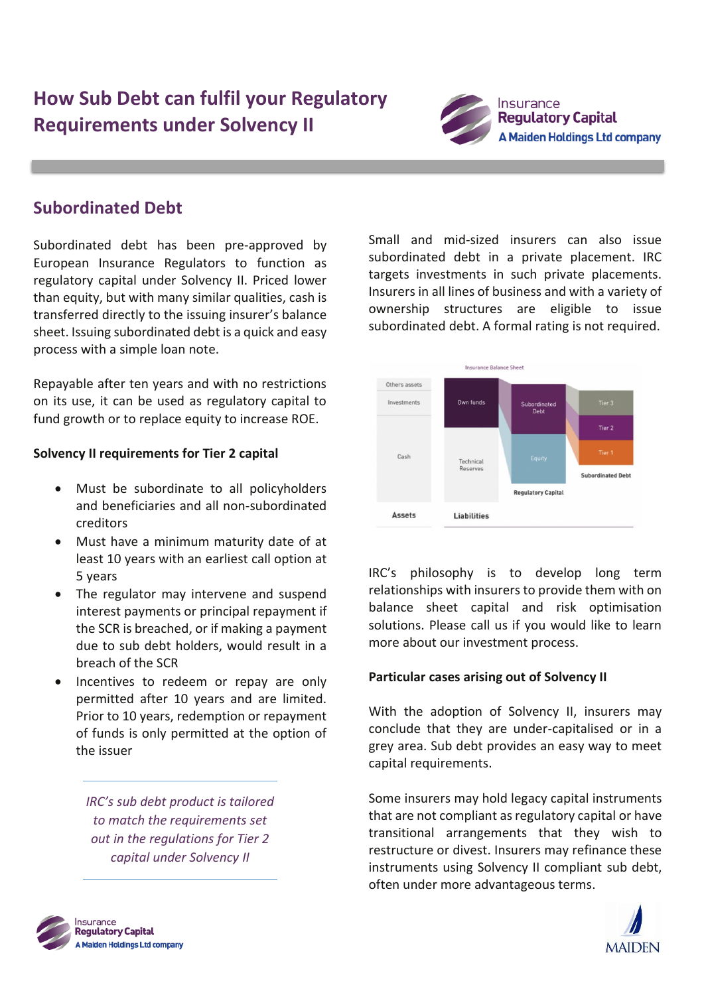# **How Sub Debt can fulfil your Regulatory Requirements under Solvency II**



### **Subordinated Debt**

Subordinated debt has been pre-approved by European Insurance Regulators to function as regulatory capital under Solvency II. Priced lower than equity, but with many similar qualities, cash is transferred directly to the issuing insurer's balance sheet. Issuing subordinated debt is a quick and easy process with a simple loan note.

Repayable after ten years and with no restrictions on its use, it can be used as regulatory capital to fund growth or to replace equity to increase ROE.

#### **Solvency II requirements for Tier 2 capital**

- Must be subordinate to all policyholders and beneficiaries and all non-subordinated creditors
- Must have a minimum maturity date of at least 10 years with an earliest call option at 5 years
- The regulator may intervene and suspend interest payments or principal repayment if the SCR is breached, or if making a payment due to sub debt holders, would result in a breach of the SCR
- Incentives to redeem or repay are only permitted after 10 years and are limited. Prior to 10 years, redemption or repayment of funds is only permitted at the option of the issuer

*IRC's sub debt product is tailored to match the requirements set out in the regulations for Tier 2 capital under Solvency II*

Small and mid-sized insurers can also issue subordinated debt in a private placement. IRC targets investments in such private placements. Insurers in all lines of business and with a variety of ownership structures are eligible to issue subordinated debt. A formal rating is not required.



IRC's philosophy is to develop long term relationships with insurers to provide them with on balance sheet capital and risk optimisation solutions. Please call us if you would like to learn more about our investment process.

#### **Particular cases arising out of Solvency II**

With the adoption of Solvency II, insurers may conclude that they are under-capitalised or in a grey area. Sub debt provides an easy way to meet capital requirements.

Some insurers may hold legacy capital instruments that are not compliant as regulatory capital or have transitional arrangements that they wish to restructure or divest. Insurers may refinance these instruments using Solvency II compliant sub debt, often under more advantageous terms.



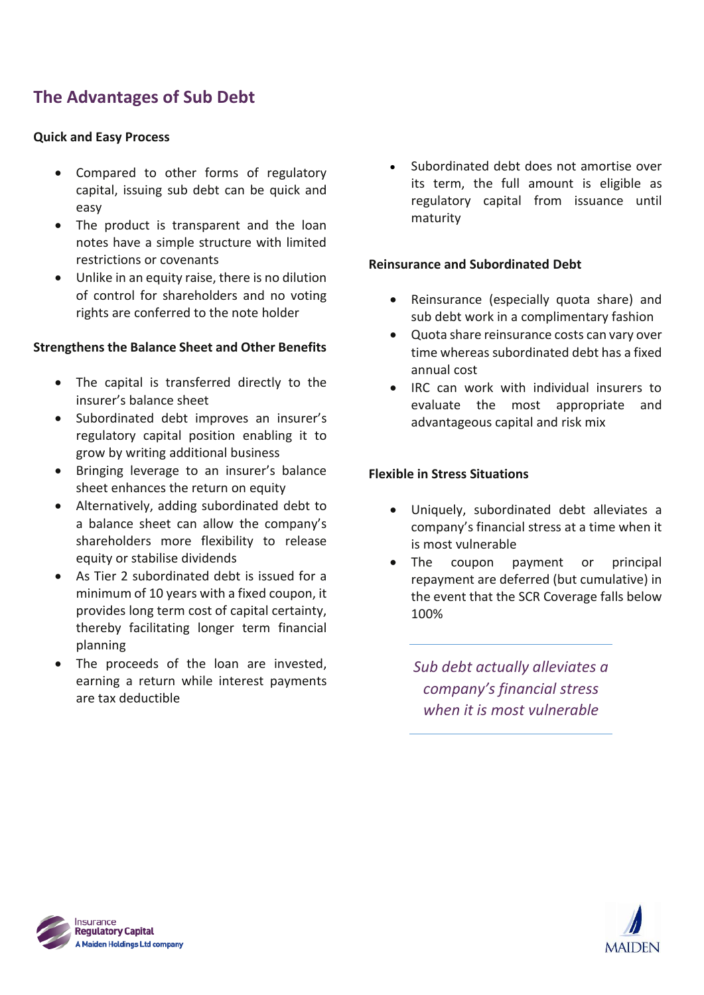## **The Advantages of Sub Debt**

#### **Quick and Easy Process**

- Compared to other forms of regulatory capital, issuing sub debt can be quick and easy
- The product is transparent and the loan notes have a simple structure with limited restrictions or covenants
- Unlike in an equity raise, there is no dilution of control for shareholders and no voting rights are conferred to the note holder

#### **Strengthens the Balance Sheet and Other Benefits**

- The capital is transferred directly to the insurer's balance sheet
- Subordinated debt improves an insurer's regulatory capital position enabling it to grow by writing additional business
- Bringing leverage to an insurer's balance sheet enhances the return on equity
- Alternatively, adding subordinated debt to a balance sheet can allow the company's shareholders more flexibility to release equity or stabilise dividends
- As Tier 2 subordinated debt is issued for a minimum of 10 years with a fixed coupon, it provides long term cost of capital certainty, thereby facilitating longer term financial planning
- The proceeds of the loan are invested, earning a return while interest payments are tax deductible

• Subordinated debt does not amortise over its term, the full amount is eligible as regulatory capital from issuance until maturity

#### **Reinsurance and Subordinated Debt**

- Reinsurance (especially quota share) and sub debt work in a complimentary fashion
- Quota share reinsurance costs can vary over time whereas subordinated debt has a fixed annual cost
- IRC can work with individual insurers to evaluate the most appropriate and advantageous capital and risk mix

#### **Flexible in Stress Situations**

- Uniquely, subordinated debt alleviates a company's financial stress at a time when it is most vulnerable
- The coupon payment or principal repayment are deferred (but cumulative) in the event that the SCR Coverage falls below 100%

*Sub debt actually alleviates a company's financial stress when it is most vulnerable*